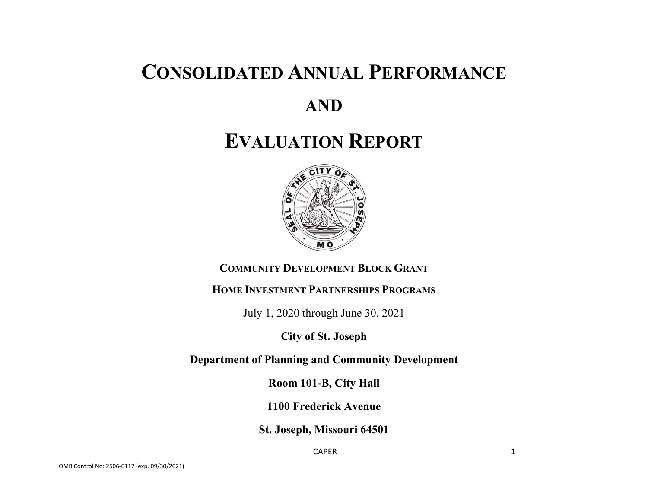## **CONSOLIDATED ANNUAL PERFORMANCE**

## **AND**

# **EVALUATION REPORT**



## **COMMUNITY DEVELOPMENT BLOCK GRANT**

#### **HOME INVESTMENT PARTNERSHIPS PROGRAMS**

July 1, 2020 through June 30, 2021

## **City of St. Joseph**

**Department of Planning and Community Development** 

**Room 101-B, City Hall** 

**1100 Frederick Avenue** 

**St. Joseph, Missouri 64501** 

caper and the contract of the contract of the contract of the contract of the contract of the contract of the contract of the contract of the contract of the contract of the contract of the contract of the contract of the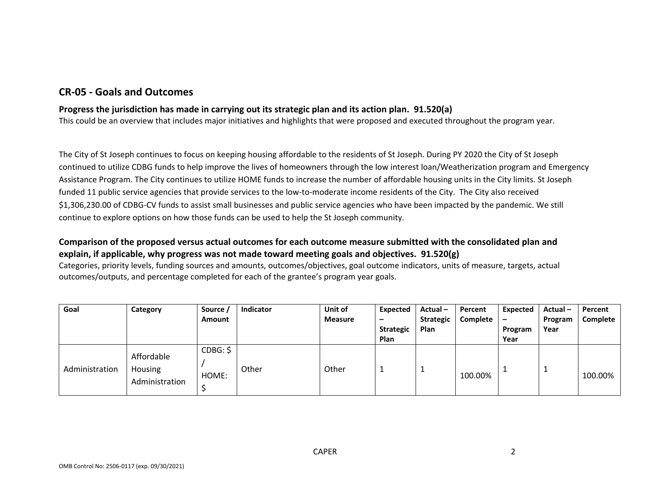### **CR‐05 ‐ Goals and Outcomes**

#### **Progress the jurisdiction has made in carrying out its strategic plan and its action plan. 91.520(a)**

This could be an overview that includes major initiatives and highlights that were proposed and executed throughout the program year.

The City of St Joseph continues to focus on keeping housing affordable to the residents of St Joseph. During PY 2020 the City of St Joseph continued to utilize CDBG funds to help improve the lives of homeowners through the low interest loan/Weatherization program and Emergency Assistance Program. The City continues to utilize HOME funds to increase the number of affordable housing units in the City limits. St Joseph funded 11 public service agencies that provide services to the low-to-moderate income residents of the City. The City also received \$1,306,230.00 of CDBG-CV funds to assist small businesses and public service agencies who have been impacted by the pandemic. We still continue to explore options on how those funds can be used to help the St Joseph community.

#### **Comparison of the proposed versus actual outcomes for each outcome measure submitted with the consolidated plan and explain, if applicable, why progress was not made toward meeting goals and objectives. 91.520(g)**

Categories, priority levels, funding sources and amounts, outcomes/objectives, goal outcome indicators, units of measure, targets, actual outcomes/outputs, and percentage completed for each of the grantee's program year goals.

| Goal           | Category                                       | Source /<br>Amount | <b>Indicator</b> | Unit of<br><b>Measure</b> | Expected<br>-<br><b>Strategic</b><br>Plan | Actual-<br><b>Strategic</b><br>Plan | Percent<br>Complete | Expected<br>$\qquad \qquad$<br>Program<br>Year | Actual-<br>Program<br>Year | Percent<br>Complete |
|----------------|------------------------------------------------|--------------------|------------------|---------------------------|-------------------------------------------|-------------------------------------|---------------------|------------------------------------------------|----------------------------|---------------------|
| Administration | Affordable<br><b>Housing</b><br>Administration | CDBG: \$<br>HOME:  | Other            | Other                     |                                           | <b>.</b>                            | 100.00%             |                                                |                            | 100.00%             |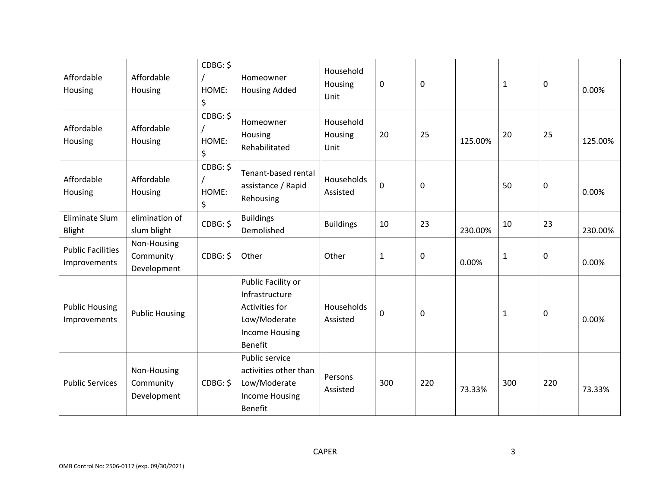| Affordable<br>Housing                    | Affordable<br>Housing                   | CDBG: \$<br>HOME:<br>\$ | Homeowner<br><b>Housing Added</b>                                                                          | Household<br>Housing<br>Unit | 0            | $\mathbf 0$      |         | $\mathbf{1}$ | 0   | 0.00%   |
|------------------------------------------|-----------------------------------------|-------------------------|------------------------------------------------------------------------------------------------------------|------------------------------|--------------|------------------|---------|--------------|-----|---------|
| Affordable<br>Housing                    | Affordable<br>Housing                   | CDBG: \$<br>HOME:<br>\$ | Homeowner<br>Housing<br>Rehabilitated                                                                      | Household<br>Housing<br>Unit | 20           | 25               | 125.00% | 20           | 25  | 125.00% |
| Affordable<br>Housing                    | Affordable<br>Housing                   | CDBG: \$<br>HOME:<br>\$ | Tenant-based rental<br>assistance / Rapid<br>Rehousing                                                     | Households<br>Assisted       | 0            | $\boldsymbol{0}$ |         | 50           | 0   | 0.00%   |
| Eliminate Slum<br>Blight                 | elimination of<br>slum blight           | CDBG: \$                | <b>Buildings</b><br>Demolished                                                                             | <b>Buildings</b>             | 10           | 23               | 230.00% | 10           | 23  | 230.00% |
| <b>Public Facilities</b><br>Improvements | Non-Housing<br>Community<br>Development | CDBG: \$                | Other                                                                                                      | Other                        | $\mathbf{1}$ | $\boldsymbol{0}$ | 0.00%   | $\mathbf{1}$ | 0   | 0.00%   |
| <b>Public Housing</b><br>Improvements    | <b>Public Housing</b>                   |                         | Public Facility or<br>Infrastructure<br>Activities for<br>Low/Moderate<br><b>Income Housing</b><br>Benefit | Households<br>Assisted       | 0            | 0                |         | $\mathbf{1}$ | 0   | 0.00%   |
| <b>Public Services</b>                   | Non-Housing<br>Community<br>Development | CDBG: \$                | Public service<br>activities other than<br>Low/Moderate<br><b>Income Housing</b><br>Benefit                | Persons<br>Assisted          | 300          | 220              | 73.33%  | 300          | 220 | 73.33%  |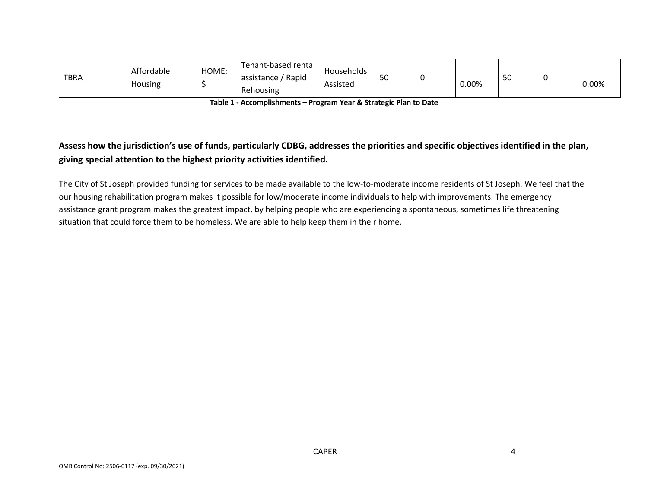| <b>TBRA</b> | Affordable<br>Housing | HOME: | Tenant-based rental<br>assistance / Rapid<br>Rehousing | Households<br>Assisted | 50 | 0.00% | cΩ<br>υc | 0.00% |
|-------------|-----------------------|-------|--------------------------------------------------------|------------------------|----|-------|----------|-------|
|             |                       |       |                                                        |                        |    |       |          |       |

**Table 1 ‐ Accomplishments – Program Year & Strategic Plan to Date** 

## **Assess how the jurisdiction's use of funds, particularly CDBG, addresses the priorities and specific objectives identified in the plan, giving special attention to the highest priority activities identified.**

The City of St Joseph provided funding for services to be made available to the low-to-moderate income residents of St Joseph. We feel that the our housing rehabilitation program makes it possible for low/moderate income individuals to help with improvements. The emergency assistance grant program makes the greatest impact, by helping people who are experiencing a spontaneous, sometimes life threatening situation that could force them to be homeless. We are able to help keep them in their home.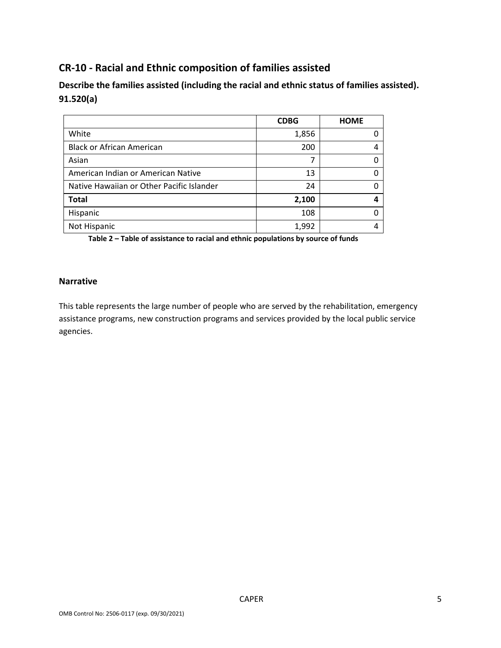## **CR‐10 ‐ Racial and Ethnic composition of families assisted**

**Describe the families assisted (including the racial and ethnic status of families assisted). 91.520(a)** 

|                                           | <b>CDBG</b> | <b>HOME</b> |
|-------------------------------------------|-------------|-------------|
| White                                     | 1,856       |             |
| <b>Black or African American</b>          | 200         |             |
| Asian                                     | 7           |             |
| American Indian or American Native        | 13          |             |
| Native Hawaiian or Other Pacific Islander | 24          |             |
| <b>Total</b>                              | 2,100       |             |
| Hispanic                                  | 108         |             |
| Not Hispanic                              | 1,992       |             |

**Table 2 – Table of assistance to racial and ethnic populations by source of funds** 

#### **Narrative**

This table represents the large number of people who are served by the rehabilitation, emergency assistance programs, new construction programs and services provided by the local public service agencies.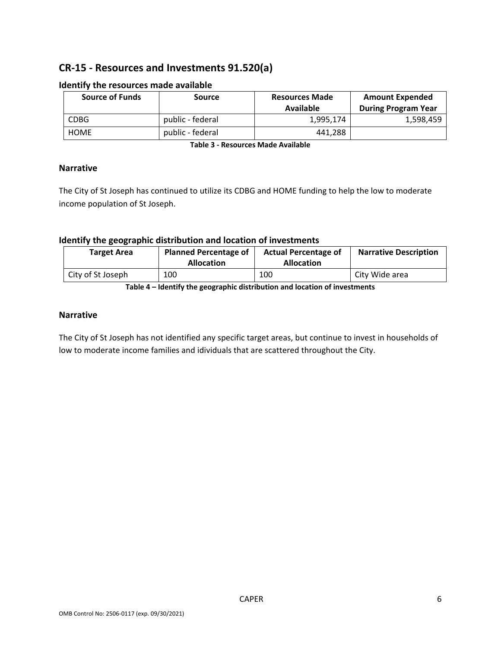## **CR‐15 ‐ Resources and Investments 91.520(a)**

| <b>Source of Funds</b> | <b>Source</b>    | <b>Resources Made</b><br>Available | <b>Amount Expended</b><br><b>During Program Year</b> |
|------------------------|------------------|------------------------------------|------------------------------------------------------|
| <b>CDBG</b>            | public - federal | 1.995.174                          | 1,598,459                                            |
| <b>HOME</b>            | public - federal | 441.288                            |                                                      |

#### **Identify the resources made available**

**Table 3 ‐ Resources Made Available** 

#### **Narrative**

The City of St Joseph has continued to utilize its CDBG and HOME funding to help the low to moderate income population of St Joseph.

#### **Identify the geographic distribution and location of investments**

| <b>Target Area</b> | <b>Planned Percentage of</b><br><b>Allocation</b> | <b>Actual Percentage of</b><br><b>Allocation</b> | <b>Narrative Description</b> |
|--------------------|---------------------------------------------------|--------------------------------------------------|------------------------------|
| City of St Joseph  | 100                                               | 100                                              | City Wide area               |

**Table 4 – Identify the geographic distribution and location of investments** 

#### **Narrative**

The City of St Joseph has not identified any specific target areas, but continue to invest in households of low to moderate income families and idividuals that are scattered throughout the City.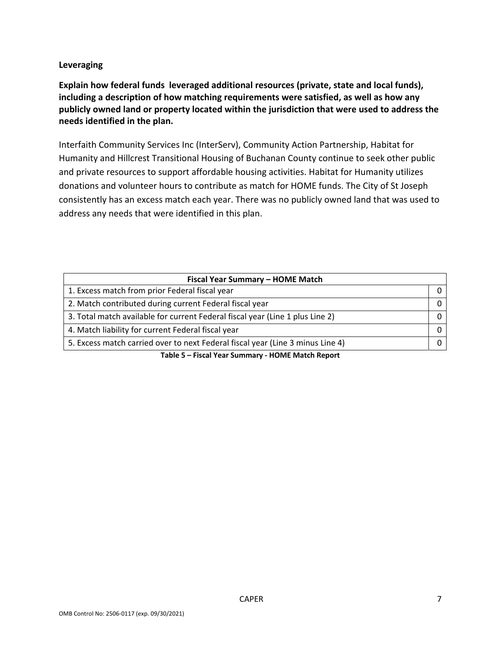#### **Leveraging**

**Explain how federal funds leveraged additional resources (private, state and local funds), including a description of how matching requirements were satisfied, as well as how any publicly owned land or property located within the jurisdiction that were used to address the needs identified in the plan.** 

Interfaith Community Services Inc (InterServ), Community Action Partnership, Habitat for Humanity and Hillcrest Transitional Housing of Buchanan County continue to seek other public and private resources to support affordable housing activities. Habitat for Humanity utilizes donations and volunteer hours to contribute as match for HOME funds. The City of St Joseph consistently has an excess match each year. There was no publicly owned land that was used to address any needs that were identified in this plan.

| Fiscal Year Summary - HOME Match                                               |  |  |  |  |  |
|--------------------------------------------------------------------------------|--|--|--|--|--|
| 1. Excess match from prior Federal fiscal year                                 |  |  |  |  |  |
| 2. Match contributed during current Federal fiscal year                        |  |  |  |  |  |
| 3. Total match available for current Federal fiscal year (Line 1 plus Line 2)  |  |  |  |  |  |
| 4. Match liability for current Federal fiscal year                             |  |  |  |  |  |
| 5. Excess match carried over to next Federal fiscal year (Line 3 minus Line 4) |  |  |  |  |  |

**Table 5 – Fiscal Year Summary ‐ HOME Match Report**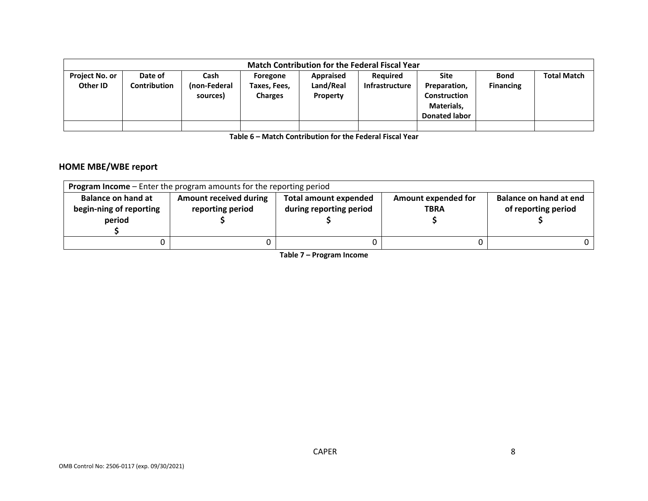|                       | <b>Match Contribution for the Federal Fiscal Year</b> |              |                |                  |                 |                      |                  |                    |
|-----------------------|-------------------------------------------------------|--------------|----------------|------------------|-----------------|----------------------|------------------|--------------------|
|                       |                                                       |              |                |                  |                 |                      |                  |                    |
| <b>Project No. or</b> | Date of                                               | Cash         | Foregone       | <b>Appraised</b> | <b>Required</b> | <b>Site</b>          | <b>Bond</b>      | <b>Total Match</b> |
| Other ID              | Contribution                                          | (non-Federal | Taxes, Fees,   | Land/Real        | Infrastructure  | Preparation,         | <b>Financing</b> |                    |
|                       |                                                       | sources)     | <b>Charges</b> | Property         |                 | <b>Construction</b>  |                  |                    |
|                       |                                                       |              |                |                  |                 | Materials,           |                  |                    |
|                       |                                                       |              |                |                  |                 |                      |                  |                    |
|                       |                                                       |              |                |                  |                 | <b>Donated labor</b> |                  |                    |
|                       |                                                       |              |                |                  |                 |                      |                  |                    |

**Table 6 – Match Contribution for the Federal Fiscal Year** 

#### **HOME MBE/WBE report**

| <b>Program Income</b> – Enter the program amounts for the reporting period |                                                   |                                                         |                                           |                                               |  |
|----------------------------------------------------------------------------|---------------------------------------------------|---------------------------------------------------------|-------------------------------------------|-----------------------------------------------|--|
| <b>Balance on hand at</b><br>begin-ning of reporting<br>period             | <b>Amount received during</b><br>reporting period | <b>Total amount expended</b><br>during reporting period | <b>Amount expended for</b><br><b>TBRA</b> | Balance on hand at end<br>of reporting period |  |
|                                                                            |                                                   |                                                         |                                           |                                               |  |

**Table 7 – Program Income**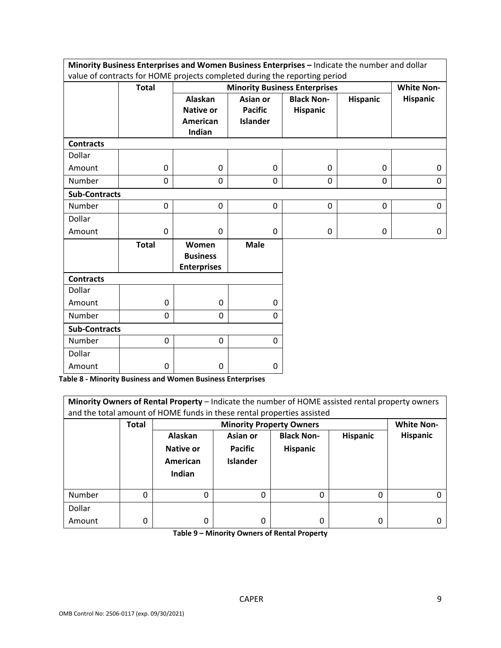|                      |              |                                                          |                                               | Minority Business Enterprises and Women Business Enterprises - Indicate the number and dollar<br>value of contracts for HOME projects completed during the reporting period |                 |                 |  |  |
|----------------------|--------------|----------------------------------------------------------|-----------------------------------------------|-----------------------------------------------------------------------------------------------------------------------------------------------------------------------------|-----------------|-----------------|--|--|
|                      | <b>Total</b> |                                                          |                                               | <b>Minority Business Enterprises</b><br><b>White Non-</b>                                                                                                                   |                 |                 |  |  |
|                      |              | Alaskan<br><b>Native or</b><br><b>American</b><br>Indian | Asian or<br><b>Pacific</b><br><b>Islander</b> | <b>Black Non-</b><br>Hispanic                                                                                                                                               | <b>Hispanic</b> | <b>Hispanic</b> |  |  |
| <b>Contracts</b>     |              |                                                          |                                               |                                                                                                                                                                             |                 |                 |  |  |
| Dollar               |              |                                                          |                                               |                                                                                                                                                                             |                 |                 |  |  |
| Amount               | 0            | 0                                                        | 0                                             | 0                                                                                                                                                                           | 0               | 0               |  |  |
| Number               | 0            | 0                                                        | 0                                             | 0                                                                                                                                                                           | 0               | 0               |  |  |
| <b>Sub-Contracts</b> |              |                                                          |                                               |                                                                                                                                                                             |                 |                 |  |  |
| Number               | 0            | $\mathbf 0$                                              | 0                                             | 0                                                                                                                                                                           | $\mathbf 0$     | 0               |  |  |
| Dollar               |              |                                                          |                                               |                                                                                                                                                                             |                 |                 |  |  |
| Amount               | 0            | 0                                                        | $\Omega$                                      | 0                                                                                                                                                                           | 0               | 0               |  |  |
|                      | <b>Total</b> | Women<br><b>Business</b><br><b>Enterprises</b>           | <b>Male</b>                                   |                                                                                                                                                                             |                 |                 |  |  |
| <b>Contracts</b>     |              |                                                          |                                               |                                                                                                                                                                             |                 |                 |  |  |
| Dollar               |              |                                                          |                                               |                                                                                                                                                                             |                 |                 |  |  |
| Amount               | 0            | 0                                                        | 0                                             |                                                                                                                                                                             |                 |                 |  |  |
| Number               | 0            | 0                                                        | $\Omega$                                      |                                                                                                                                                                             |                 |                 |  |  |
| <b>Sub-Contracts</b> |              |                                                          |                                               |                                                                                                                                                                             |                 |                 |  |  |
| Number               | 0            | 0                                                        | $\mathbf{0}$                                  |                                                                                                                                                                             |                 |                 |  |  |
| Dollar               |              |                                                          |                                               |                                                                                                                                                                             |                 |                 |  |  |
| Amount               | 0            | 0                                                        | 0                                             |                                                                                                                                                                             |                 |                 |  |  |

**Table 8 ‐ Minority Business and Women Business Enterprises** 

| Minority Owners of Rental Property - Indicate the number of HOME assisted rental property owners<br>and the total amount of HOME funds in these rental properties assisted |              |                                            |                                               |                                      |                 |                   |
|----------------------------------------------------------------------------------------------------------------------------------------------------------------------------|--------------|--------------------------------------------|-----------------------------------------------|--------------------------------------|-----------------|-------------------|
|                                                                                                                                                                            | <b>Total</b> |                                            |                                               | <b>Minority Property Owners</b>      |                 | <b>White Non-</b> |
|                                                                                                                                                                            |              | Alaskan<br>Native or<br>American<br>Indian | Asian or<br><b>Pacific</b><br><b>Islander</b> | <b>Black Non-</b><br><b>Hispanic</b> | <b>Hispanic</b> | <b>Hispanic</b>   |
| Number                                                                                                                                                                     | 0            | $\Omega$                                   | 0                                             | 0                                    | 0               |                   |
| Dollar                                                                                                                                                                     |              |                                            |                                               |                                      |                 |                   |
| Amount                                                                                                                                                                     | 0            | 0                                          | 0                                             | 0                                    | 0               |                   |

**Table 9 – Minority Owners of Rental Property**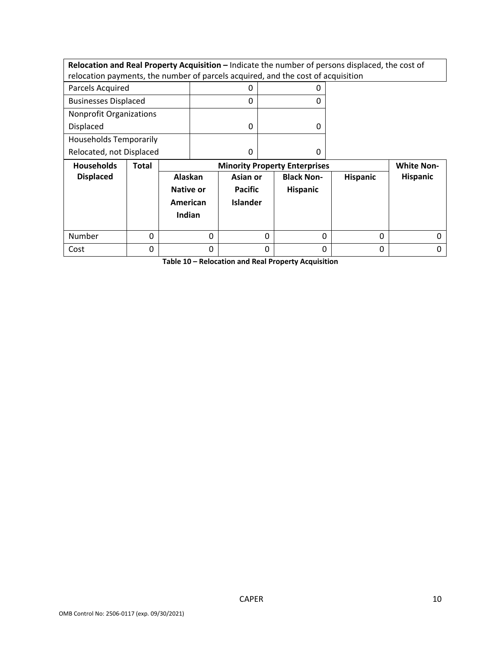**Relocation and Real Property Acquisition –** Indicate the number of persons displaced, the cost of relocation payments, the number of parcels acquired, and the cost of acquisition

| Parcels Acquired               |  |
|--------------------------------|--|
| <b>Businesses Displaced</b>    |  |
| <b>Nonprofit Organizations</b> |  |
| <b>Displaced</b>               |  |
| <b>Households Temporarily</b>  |  |
| Relocated, not Displaced       |  |

| <b>Households</b> | Total | <b>Minority Property Enterprises</b>              | <b>White Non-</b>                             |                                      |                 |                 |
|-------------------|-------|---------------------------------------------------|-----------------------------------------------|--------------------------------------|-----------------|-----------------|
| <b>Displaced</b>  |       | Alaskan<br><b>Native or</b><br>American<br>Indian | Asian or<br><b>Pacific</b><br><b>Islander</b> | <b>Black Non-</b><br><b>Hispanic</b> | <b>Hispanic</b> | <b>Hispanic</b> |
| Number            |       |                                                   | 0                                             |                                      | 0               |                 |
| Cost              |       |                                                   | 0                                             |                                      | 0               |                 |

**Table 10 – Relocation and Real Property Acquisition**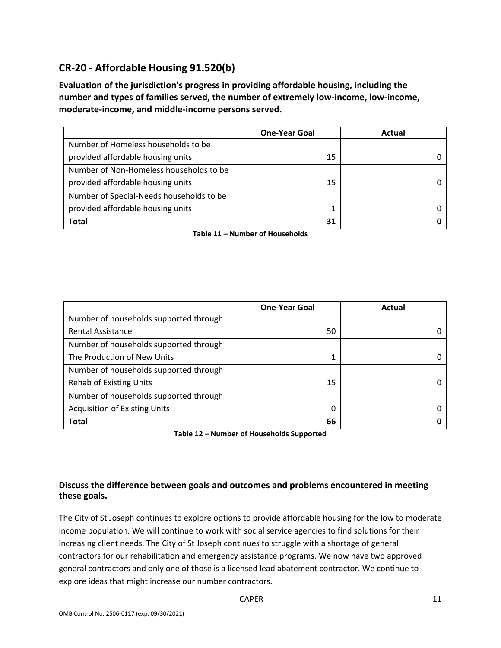## **CR‐20 ‐ Affordable Housing 91.520(b)**

**Evaluation of the jurisdiction's progress in providing affordable housing, including the number and types of families served, the number of extremely low‐income, low‐income, moderate‐income, and middle‐income persons served.** 

|                                          | <b>One-Year Goal</b> | Actual |
|------------------------------------------|----------------------|--------|
| Number of Homeless households to be      |                      |        |
| provided affordable housing units        | 15                   |        |
| Number of Non-Homeless households to be  |                      |        |
| provided affordable housing units        | 15                   |        |
| Number of Special-Needs households to be |                      |        |
| provided affordable housing units        |                      |        |
| <b>Total</b>                             | 31                   |        |

**Table 11 – Number of Households** 

|                                        | <b>One-Year Goal</b> | Actual |
|----------------------------------------|----------------------|--------|
| Number of households supported through |                      |        |
| <b>Rental Assistance</b>               | 50                   |        |
| Number of households supported through |                      |        |
| The Production of New Units            |                      |        |
| Number of households supported through |                      |        |
| <b>Rehab of Existing Units</b>         | 15                   |        |
| Number of households supported through |                      |        |
| <b>Acquisition of Existing Units</b>   | 0                    |        |
| <b>Total</b>                           | 66                   |        |

**Table 12 – Number of Households Supported** 

#### **Discuss the difference between goals and outcomes and problems encountered in meeting these goals.**

The City of St Joseph continues to explore options to provide affordable housing for the low to moderate income population. We will continue to work with social service agencies to find solutions for their increasing client needs. The City of St Joseph continues to struggle with a shortage of general contractors for our rehabilitation and emergency assistance programs. We now have two approved general contractors and only one of those is a licensed lead abatement contractor. We continue to explore ideas that might increase our number contractors.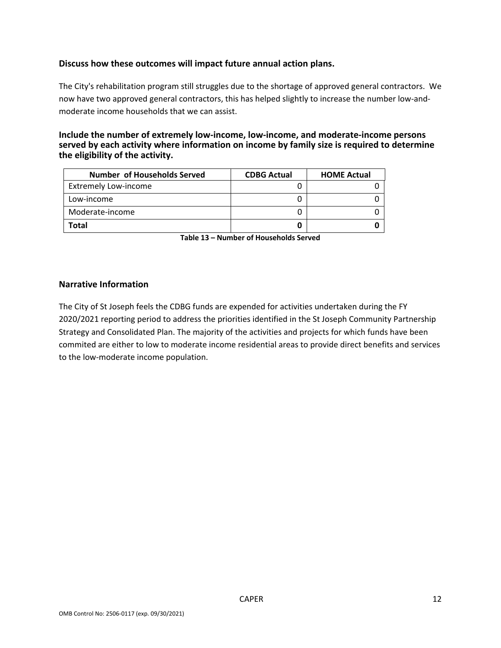#### **Discuss how these outcomes will impact future annual action plans.**

The City's rehabilitation program still struggles due to the shortage of approved general contractors. We now have two approved general contractors, this has helped slightly to increase the number low-andmoderate income households that we can assist.

#### **Include the number of extremely low‐income, low‐income, and moderate‐income persons served by each activity where information on income by family size is required to determine the eligibility of the activity.**

| Number of Households Served | <b>CDBG Actual</b> | <b>HOME Actual</b> |  |
|-----------------------------|--------------------|--------------------|--|
| <b>Extremely Low-income</b> |                    |                    |  |
| Low-income                  |                    |                    |  |
| Moderate-income             |                    |                    |  |
| Total                       |                    |                    |  |

**Table 13 – Number of Households Served** 

#### **Narrative Information**

The City of St Joseph feels the CDBG funds are expended for activities undertaken during the FY 2020/2021 reporting period to address the priorities identified in the St Joseph Community Partnership Strategy and Consolidated Plan. The majority of the activities and projects for which funds have been commited are either to low to moderate income residential areas to provide direct benefits and services to the low‐moderate income population.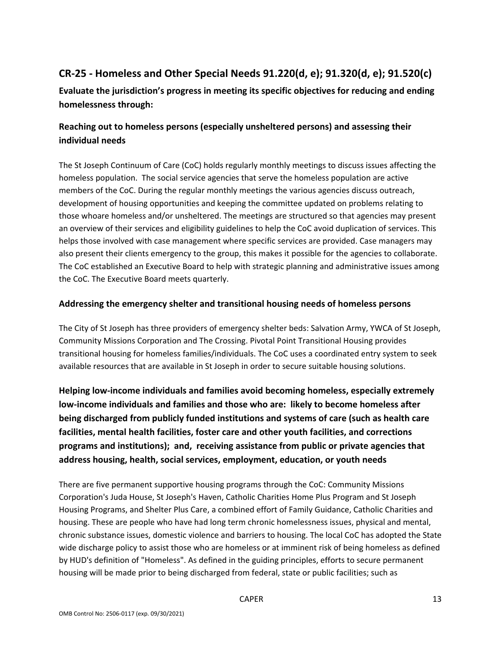## **CR‐25 ‐ Homeless and Other Special Needs 91.220(d, e); 91.320(d, e); 91.520(c)**

**Evaluate the jurisdiction's progress in meeting its specific objectives for reducing and ending homelessness through:** 

## **Reaching out to homeless persons (especially unsheltered persons) and assessing their individual needs**

The St Joseph Continuum of Care (CoC) holds regularly monthly meetings to discuss issues affecting the homeless population. The social service agencies that serve the homeless population are active members of the CoC. During the regular monthly meetings the various agencies discuss outreach, development of housing opportunities and keeping the committee updated on problems relating to those whoare homeless and/or unsheltered. The meetings are structured so that agencies may present an overview of their services and eligibility guidelines to help the CoC avoid duplication of services. This helps those involved with case management where specific services are provided. Case managers may also present their clients emergency to the group, this makes it possible for the agencies to collaborate. The CoC established an Executive Board to help with strategic planning and administrative issues among the CoC. The Executive Board meets quarterly.

#### **Addressing the emergency shelter and transitional housing needs of homeless persons**

The City of St Joseph has three providers of emergency shelter beds: Salvation Army, YWCA of St Joseph, Community Missions Corporation and The Crossing. Pivotal Point Transitional Housing provides transitional housing for homeless families/individuals. The CoC uses a coordinated entry system to seek available resources that are available in St Joseph in order to secure suitable housing solutions.

**Helping low‐income individuals and families avoid becoming homeless, especially extremely low‐income individuals and families and those who are: likely to become homeless after being discharged from publicly funded institutions and systems of care (such as health care facilities, mental health facilities, foster care and other youth facilities, and corrections programs and institutions); and, receiving assistance from public or private agencies that address housing, health, social services, employment, education, or youth needs** 

There are five permanent supportive housing programs through the CoC: Community Missions Corporation's Juda House, St Joseph's Haven, Catholic Charities Home Plus Program and St Joseph Housing Programs, and Shelter Plus Care, a combined effort of Family Guidance, Catholic Charities and housing. These are people who have had long term chronic homelessness issues, physical and mental, chronic substance issues, domestic violence and barriers to housing. The local CoC has adopted the State wide discharge policy to assist those who are homeless or at imminent risk of being homeless as defined by HUD's definition of "Homeless". As defined in the guiding principles, efforts to secure permanent housing will be made prior to being discharged from federal, state or public facilities; such as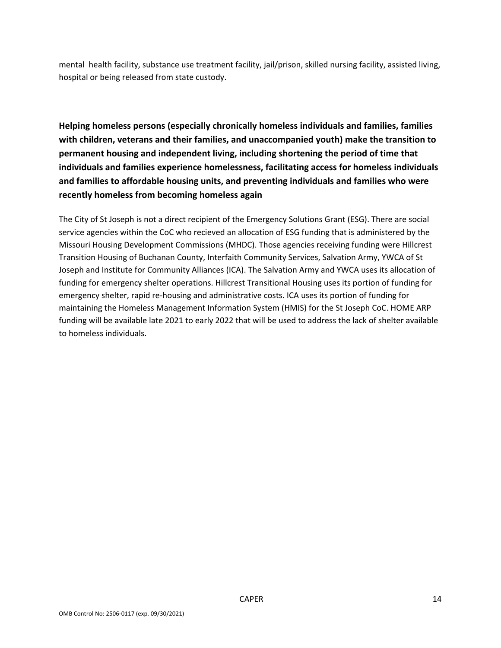mental health facility, substance use treatment facility, jail/prison, skilled nursing facility, assisted living, hospital or being released from state custody.

**Helping homeless persons (especially chronically homeless individuals and families, families with children, veterans and their families, and unaccompanied youth) make the transition to permanent housing and independent living, including shortening the period of time that individuals and families experience homelessness, facilitating access for homeless individuals and families to affordable housing units, and preventing individuals and families who were recently homeless from becoming homeless again** 

The City of St Joseph is not a direct recipient of the Emergency Solutions Grant (ESG). There are social service agencies within the CoC who recieved an allocation of ESG funding that is administered by the Missouri Housing Development Commissions (MHDC). Those agencies receiving funding were Hillcrest Transition Housing of Buchanan County, Interfaith Community Services, Salvation Army, YWCA of St Joseph and Institute for Community Alliances (ICA). The Salvation Army and YWCA uses its allocation of funding for emergency shelter operations. Hillcrest Transitional Housing uses its portion of funding for emergency shelter, rapid re-housing and administrative costs. ICA uses its portion of funding for maintaining the Homeless Management Information System (HMIS) for the St Joseph CoC. HOME ARP funding will be available late 2021 to early 2022 that will be used to address the lack of shelter available to homeless individuals.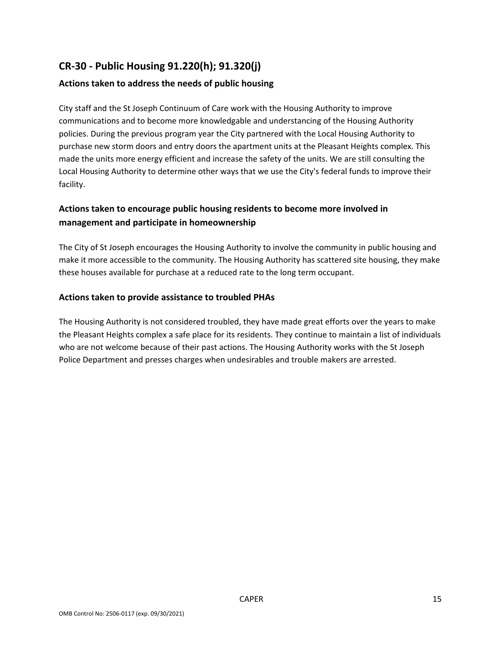## **CR‐30 ‐ Public Housing 91.220(h); 91.320(j)**

#### **Actions taken to address the needs of public housing**

City staff and the St Joseph Continuum of Care work with the Housing Authority to improve communications and to become more knowledgable and understancing of the Housing Authority policies. During the previous program year the City partnered with the Local Housing Authority to purchase new storm doors and entry doors the apartment units at the Pleasant Heights complex. This made the units more energy efficient and increase the safety of the units. We are still consulting the Local Housing Authority to determine other ways that we use the City's federal funds to improve their facility.

## **Actions taken to encourage public housing residents to become more involved in management and participate in homeownership**

The City of St Joseph encourages the Housing Authority to involve the community in public housing and make it more accessible to the community. The Housing Authority has scattered site housing, they make these houses available for purchase at a reduced rate to the long term occupant.

#### **Actions taken to provide assistance to troubled PHAs**

The Housing Authority is not considered troubled, they have made great efforts over the years to make the Pleasant Heights complex a safe place for its residents. They continue to maintain a list of individuals who are not welcome because of their past actions. The Housing Authority works with the St Joseph Police Department and presses charges when undesirables and trouble makers are arrested.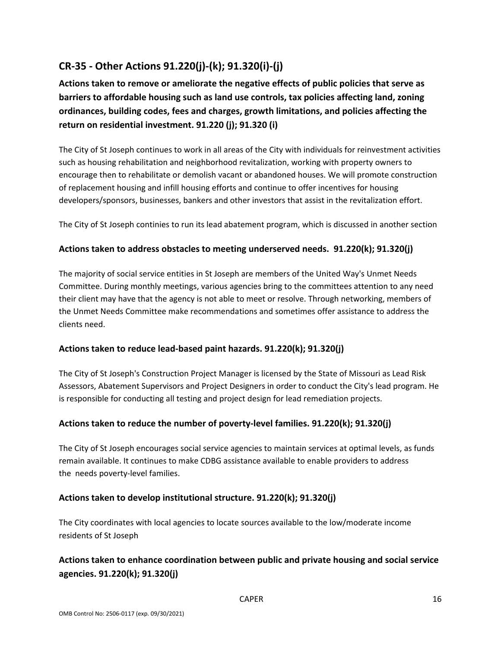## **CR‐35 ‐ Other Actions 91.220(j)‐(k); 91.320(i)‐(j)**

**Actions taken to remove or ameliorate the negative effects of public policies that serve as barriers to affordable housing such as land use controls, tax policies affecting land, zoning ordinances, building codes, fees and charges, growth limitations, and policies affecting the return on residential investment. 91.220 (j); 91.320 (i)** 

The City of St Joseph continues to work in all areas of the City with individuals for reinvestment activities such as housing rehabilitation and neighborhood revitalization, working with property owners to encourage then to rehabilitate or demolish vacant or abandoned houses. We will promote construction of replacement housing and infill housing efforts and continue to offer incentives for housing developers/sponsors, businesses, bankers and other investors that assist in the revitalization effort.

The City of St Joseph continies to run its lead abatement program, which is discussed in another section

#### **Actions taken to address obstacles to meeting underserved needs. 91.220(k); 91.320(j)**

The majority of social service entities in St Joseph are members of the United Way's Unmet Needs Committee. During monthly meetings, various agencies bring to the committees attention to any need their client may have that the agency is not able to meet or resolve. Through networking, members of the Unmet Needs Committee make recommendations and sometimes offer assistance to address the clients need.

#### **Actions taken to reduce lead‐based paint hazards. 91.220(k); 91.320(j)**

The City of St Joseph's Construction Project Manager is licensed by the State of Missouri as Lead Risk Assessors, Abatement Supervisors and Project Designers in order to conduct the City's lead program. He is responsible for conducting all testing and project design for lead remediation projects.

#### **Actions taken to reduce the number of poverty‐level families. 91.220(k); 91.320(j)**

The City of St Joseph encourages social service agencies to maintain services at optimal levels, as funds remain available. It continues to make CDBG assistance available to enable providers to address the needs poverty‐level families.

#### **Actions taken to develop institutional structure. 91.220(k); 91.320(j)**

The City coordinates with local agencies to locate sources available to the low/moderate income residents of St Joseph

## **Actions taken to enhance coordination between public and private housing and social service agencies. 91.220(k); 91.320(j)**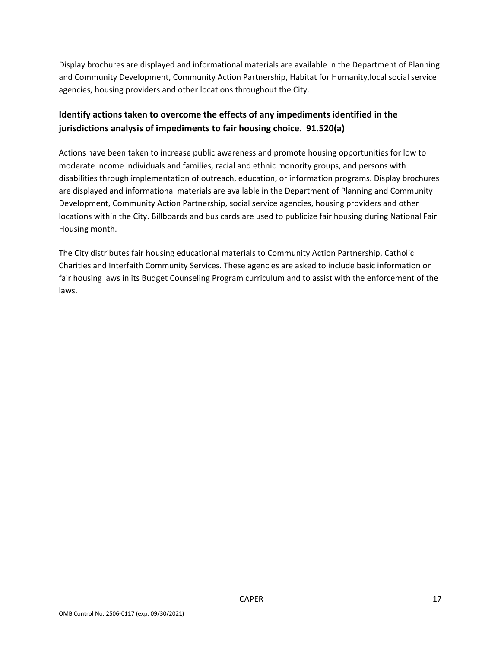Display brochures are displayed and informational materials are available in the Department of Planning and Community Development, Community Action Partnership, Habitat for Humanity,local social service agencies, housing providers and other locations throughout the City.

## **Identify actions taken to overcome the effects of any impediments identified in the jurisdictions analysis of impediments to fair housing choice. 91.520(a)**

Actions have been taken to increase public awareness and promote housing opportunities for low to moderate income individuals and families, racial and ethnic monority groups, and persons with disabilities through implementation of outreach, education, or information programs. Display brochures are displayed and informational materials are available in the Department of Planning and Community Development, Community Action Partnership, social service agencies, housing providers and other locations within the City. Billboards and bus cards are used to publicize fair housing during National Fair Housing month.

The City distributes fair housing educational materials to Community Action Partnership, Catholic Charities and Interfaith Community Services. These agencies are asked to include basic information on fair housing laws in its Budget Counseling Program curriculum and to assist with the enforcement of the laws.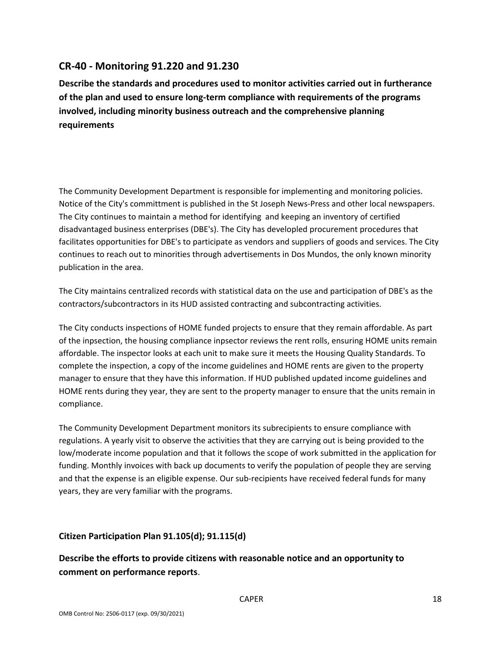### **CR‐40 ‐ Monitoring 91.220 and 91.230**

**Describe the standards and procedures used to monitor activities carried out in furtherance of the plan and used to ensure long‐term compliance with requirements of the programs involved, including minority business outreach and the comprehensive planning requirements** 

The Community Development Department is responsible for implementing and monitoring policies. Notice of the City's committment is published in the St Joseph News‐Press and other local newspapers. The City continues to maintain a method for identifying and keeping an inventory of certified disadvantaged business enterprises (DBE's). The City has developled procurement procedures that facilitates opportunities for DBE's to participate as vendors and suppliers of goods and services. The City continues to reach out to minorities through advertisements in Dos Mundos, the only known minority publication in the area.

The City maintains centralized records with statistical data on the use and participation of DBE's as the contractors/subcontractors in its HUD assisted contracting and subcontracting activities.

The City conducts inspections of HOME funded projects to ensure that they remain affordable. As part of the inpsection, the housing compliance inpsector reviews the rent rolls, ensuring HOME units remain affordable. The inspector looks at each unit to make sure it meets the Housing Quality Standards. To complete the inspection, a copy of the income guidelines and HOME rents are given to the property manager to ensure that they have this information. If HUD published updated income guidelines and HOME rents during they year, they are sent to the property manager to ensure that the units remain in compliance.

The Community Development Department monitors its subrecipients to ensure compliance with regulations. A yearly visit to observe the activities that they are carrying out is being provided to the low/moderate income population and that it follows the scope of work submitted in the application for funding. Monthly invoices with back up documents to verify the population of people they are serving and that the expense is an eligible expense. Our sub-recipients have received federal funds for many years, they are very familiar with the programs.

#### **Citizen Participation Plan 91.105(d); 91.115(d)**

**Describe the efforts to provide citizens with reasonable notice and an opportunity to comment on performance reports**.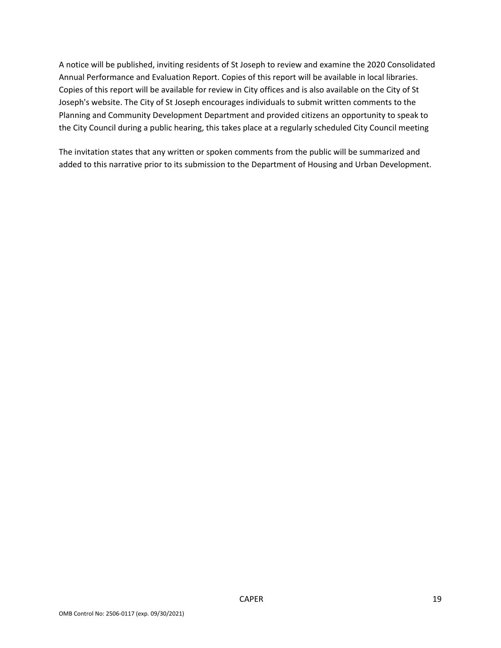A notice will be published, inviting residents of St Joseph to review and examine the 2020 Consolidated Annual Performance and Evaluation Report. Copies of this report will be available in local libraries. Copies of this report will be available for review in City offices and is also available on the City of St Joseph's website. The City of St Joseph encourages individuals to submit written comments to the Planning and Community Development Department and provided citizens an opportunity to speak to the City Council during a public hearing, this takes place at a regularly scheduled City Council meeting

The invitation states that any written or spoken comments from the public will be summarized and added to this narrative prior to its submission to the Department of Housing and Urban Development.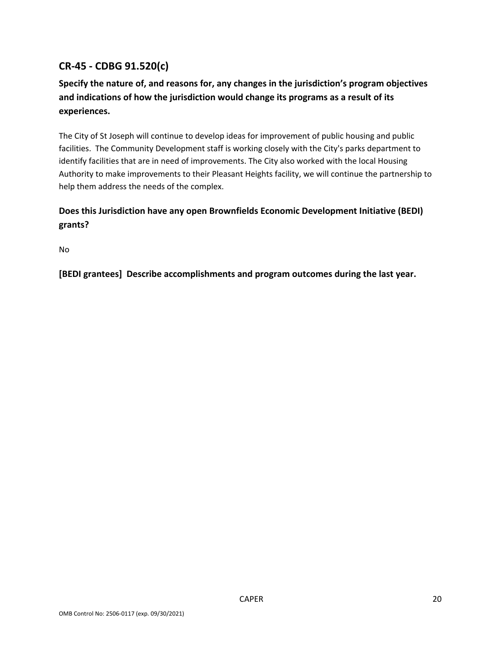## **CR‐45 ‐ CDBG 91.520(c)**

## **Specify the nature of, and reasons for, any changes in the jurisdiction's program objectives and indications of how the jurisdiction would change its programs as a result of its experiences.**

The City of St Joseph will continue to develop ideas for improvement of public housing and public facilities. The Community Development staff is working closely with the City's parks department to identify facilities that are in need of improvements. The City also worked with the local Housing Authority to make improvements to their Pleasant Heights facility, we will continue the partnership to help them address the needs of the complex.

## **Does this Jurisdiction have any open Brownfields Economic Development Initiative (BEDI) grants?**

No

**[BEDI grantees] Describe accomplishments and program outcomes during the last year.**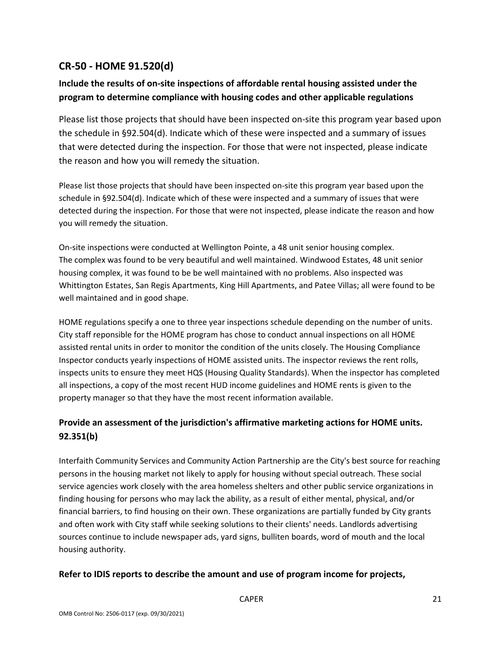## **CR‐50 ‐ HOME 91.520(d)**

## **Include the results of on‐site inspections of affordable rental housing assisted under the program to determine compliance with housing codes and other applicable regulations**

Please list those projects that should have been inspected on‐site this program year based upon the schedule in §92.504(d). Indicate which of these were inspected and a summary of issues that were detected during the inspection. For those that were not inspected, please indicate the reason and how you will remedy the situation.

Please list those projects that should have been inspected on‐site this program year based upon the schedule in §92.504(d). Indicate which of these were inspected and a summary of issues that were detected during the inspection. For those that were not inspected, please indicate the reason and how you will remedy the situation.

On‐site inspections were conducted at Wellington Pointe, a 48 unit senior housing complex. The complex was found to be very beautiful and well maintained. Windwood Estates, 48 unit senior housing complex, it was found to be be well maintained with no problems. Also inspected was Whittington Estates, San Regis Apartments, King Hill Apartments, and Patee Villas; all were found to be well maintained and in good shape.

HOME regulations specify a one to three year inspections schedule depending on the number of units. City staff reponsible for the HOME program has chose to conduct annual inspections on all HOME assisted rental units in order to monitor the condition of the units closely. The Housing Compliance Inspector conducts yearly inspections of HOME assisted units. The inspector reviews the rent rolls, inspects units to ensure they meet HQS (Housing Quality Standards). When the inspector has completed all inspections, a copy of the most recent HUD income guidelines and HOME rents is given to the property manager so that they have the most recent information available.

## **Provide an assessment of the jurisdiction's affirmative marketing actions for HOME units. 92.351(b)**

Interfaith Community Services and Community Action Partnership are the City's best source for reaching persons in the housing market not likely to apply for housing without special outreach. These social service agencies work closely with the area homeless shelters and other public service organizations in finding housing for persons who may lack the ability, as a result of either mental, physical, and/or financial barriers, to find housing on their own. These organizations are partially funded by City grants and often work with City staff while seeking solutions to their clients' needs. Landlords advertising sources continue to include newspaper ads, yard signs, bulliten boards, word of mouth and the local housing authority.

#### **Refer to IDIS reports to describe the amount and use of program income for projects,**